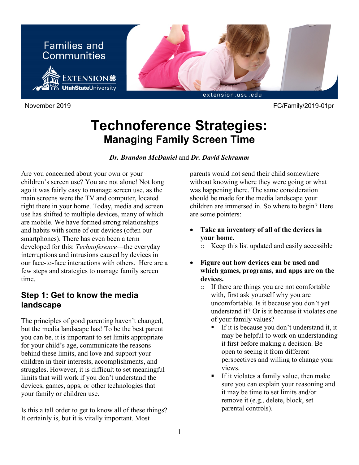



November 2019 FC/Family/2019-01pr

# **Technoference Strategies: Managing Family Screen Time**

### *Dr. Brandon McDaniel* and *Dr. David Schramm*

Are you concerned about your own or your children's screen use? You are not alone! Not long ago it was fairly easy to manage screen use, as the main screens were the TV and computer, located right there in your home. Today, media and screen use has shifted to multiple devices, many of which are mobile. We have formed strong relationships and habits with some of our devices (often our smartphones). There has even been a term developed for this: *Technoference*—the everyday interruptions and intrusions caused by devices in our face-to-face interactions with others. Here are a few steps and strategies to manage family screen time.

### **Step 1: Get to know the media landscape**

The principles of good parenting haven't changed, but the media landscape has! To be the best parent you can be, it is important to set limits appropriate for your child's age, communicate the reasons behind these limits, and love and support your children in their interests, accomplishments, and struggles. However, it is difficult to set meaningful limits that will work if you don't understand the devices, games, apps, or other technologies that your family or children use.

Is this a tall order to get to know all of these things? It certainly is, but it is vitally important. Most

parents would not send their child somewhere without knowing where they were going or what was happening there. The same consideration should be made for the media landscape your children are immersed in. So where to begin? Here are some pointers:

- **Take an inventory of all of the devices in your home.**
	- o Keep this list updated and easily accessible
- **Figure out how devices can be used and which games, programs, and apps are on the devices.**
	- o If there are things you are not comfortable with, first ask yourself why you are uncomfortable. Is it because you don't yet understand it? Or is it because it violates one of your family values?
		- If it is because you don't understand it, it may be helpful to work on understanding it first before making a decision. Be open to seeing it from different perspectives and willing to change your views.
		- If it violates a family value, then make sure you can explain your reasoning and it may be time to set limits and/or remove it (e.g., delete, block, set parental controls).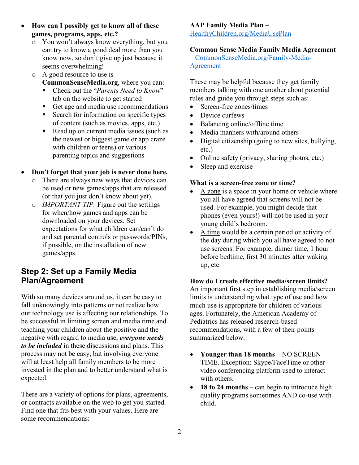- **How can I possibly get to know all of these games, programs, apps, etc.?**
	- o You won't always know everything, but you can try to know a good deal more than you know now, so don't give up just because it seems overwhelming!
	- o A good resource to use is **CommonSenseMedia.org**, where you can:
		- Check out the "*Parents Need to Know*" tab on the website to get started
		- Get age and media use recommendations
		- Search for information on specific types of content (such as movies, apps, etc.)
		- Read up on current media issues (such as the newest or biggest game or app craze with children or teens) or various parenting topics and suggestions

### • **Don't forget that your job is never done here.**

- o There are always new ways that devices can be used or new games/apps that are released (or that you just don't know about yet).
- o *IMPORTANT TIP:* Figure out the settings for when/how games and apps can be downloaded on your devices. Set expectations for what children can/can't do and set parental controls or passwords/PINs, if possible, on the installation of new games/apps.

## **Step 2: Set up a Family Media Plan/Agreement**

With so many devices around us, it can be easy to fall unknowingly into patterns or not realize how our technology use is affecting our relationships. To be successful in limiting screen and media time and teaching your children about the positive and the negative with regard to media use, *everyone needs to be included* in these discussions and plans. This process may not be easy, but involving everyone will at least help all family members to be more invested in the plan and to better understand what is expected.

There are a variety of options for plans, agreements, or contracts available on the web to get you started. Find one that fits best with your values. Here are some recommendations:

### **AAP Family Media Plan** –

[HealthyChildren.org/MediaUsePlan](http://www.healthychildren.org/MediaUsePlan)

### **Common Sense Media Family Media Agreement**

– [CommonSenseMedia.org/Family-Media-](https://www.commonsensemedia.org/family-media-agreement)[Agreement](https://www.commonsensemedia.org/family-media-agreement)

These may be helpful because they get family members talking with one another about potential rules and guide you through steps such as:

- Screen-free zones/times
- Device curfews
- Balancing online/offline time
- Media manners with/around others
- Digital citizenship (going to new sites, bullying, etc.)
- Online safety (privacy, sharing photos, etc.)
- Sleep and exercise

### **What is a screen-free zone or time?**

- A zone is a space in your home or vehicle where you all have agreed that screens will not be used. For example, you might decide that phones (even yours!) will not be used in your young child's bedroom.
- A time would be a certain period or activity of the day during which you all have agreed to not use screens. For example, dinner time, 1 hour before bedtime, first 30 minutes after waking up, etc.

### **How do I create effective media/screen limits?**

An important first step in establishing media/screen limits is understanding what type of use and how much use is appropriate for children of various ages. Fortunately, the American Academy of Pediatrics has released research-based recommendations, with a few of their points summarized below.

- **Younger than 18 months** NO SCREEN TIME. Exception: Skype/FaceTime or other video conferencing platform used to interact with others.
- **18 to 24 months** can begin to introduce high quality programs sometimes AND co-use with child.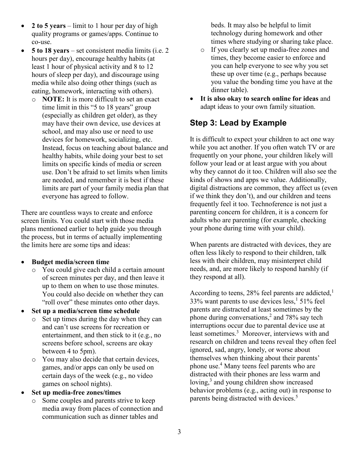- **2 to 5 years** limit to 1 hour per day of high quality programs or games/apps. Continue to co-use.
- **5 to 18 years** set consistent media limits (i.e. 2 hours per day), encourage healthy habits (at least 1 hour of physical activity and 8 to 12 hours of sleep per day), and discourage using media while also doing other things (such as eating, homework, interacting with others).
	- o **NOTE:** It is more difficult to set an exact time limit in this "5 to 18 years" group (especially as children get older), as they may have their own device, use devices at school, and may also use or need to use devices for homework, socializing, etc. Instead, focus on teaching about balance and healthy habits, while doing your best to set limits on specific kinds of media or screen use. Don't be afraid to set limits when limits are needed, and remember it is best if these limits are part of your family media plan that everyone has agreed to follow.

There are countless ways to create and enforce screen limits. You could start with those media plans mentioned earlier to help guide you through the process, but in terms of actually implementing the limits here are some tips and ideas:

#### • **Budget media/screen time**

- o You could give each child a certain amount of screen minutes per day, and then leave it up to them on when to use those minutes. You could also decide on whether they can "roll over" these minutes onto other days.
- **Set up a media/screen time schedule**
	- o Set up times during the day when they can and can't use screens for recreation or entertainment, and then stick to it (e.g., no screens before school, screens are okay between 4 to 5pm).
	- o You may also decide that certain devices, games, and/or apps can only be used on certain days of the week (e.g., no video games on school nights).
- **Set up media-free zones/times**
	- o Some couples and parents strive to keep media away from places of connection and communication such as dinner tables and

beds. It may also be helpful to limit technology during homework and other times where studying or sharing take place.

- o If you clearly set up media-free zones and times, they become easier to enforce and you can help everyone to see why you set these up over time (e.g., perhaps because you value the bonding time you have at the dinner table).
- **It is also okay to search online for ideas** and adapt ideas to your own family situation.

# **Step 3: Lead by Example**

It is difficult to expect your children to act one way while you act another. If you often watch TV or are frequently on your phone, your children likely will follow your lead or at least argue with you about why they cannot do it too. Children will also see the kinds of shows and apps we value. Additionally, digital distractions are common, they affect us (even if we think they don't), and our children and teens frequently feel it too. Technoference is not just a parenting concern for children, it is a concern for adults who are parenting (for example, checking your phone during time with your child).

When parents are distracted with devices, they are often less likely to respond to their children, talk less with their children, may misinterpret child needs, and, are more likely to respond harshly (if they respond at all).

According to teens, 28% feel parents are addicted, $<sup>1</sup>$ </sup>  $33\%$  want parents to use devices less,<sup>1</sup> 51% feel parents are distracted at least sometimes by the phone during conversations,<sup>2</sup> and 78% say tech interruptions occur due to parental device use at least sometimes. <sup>3</sup> Moreover, interviews with and research on children and teens reveal they often feel ignored, sad, angry, lonely, or worse about themselves when thinking about their parents' phone use. <sup>4</sup> Many teens feel parents who are distracted with their phones are less warm and loving,<sup>3</sup> and young children show increased behavior problems (e.g., acting out) in response to parents being distracted with devices. 5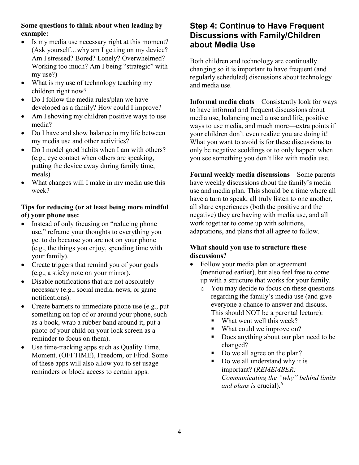### **Some questions to think about when leading by example:**

- Is my media use necessary right at this moment? (Ask yourself…why am I getting on my device? Am I stressed? Bored? Lonely? Overwhelmed? Working too much? Am I being "strategic" with my use?)
- What is my use of technology teaching my children right now?
- Do I follow the media rules/plan we have developed as a family? How could I improve?
- Am I showing my children positive ways to use media?
- Do I have and show balance in my life between my media use and other activities?
- Do I model good habits when I am with others? (e.g., eye contact when others are speaking, putting the device away during family time, meals)
- What changes will I make in my media use this week?

### **Tips for reducing (or at least being more mindful of) your phone use:**

- Instead of only focusing on "reducing phone" use," reframe your thoughts to everything you get to do because you are not on your phone (e.g., the things you enjoy, spending time with your family).
- Create triggers that remind you of your goals (e.g., a sticky note on your mirror).
- Disable notifications that are not absolutely necessary (e.g., social media, news, or game notifications).
- Create barriers to immediate phone use (e.g., put something on top of or around your phone, such as a book, wrap a rubber band around it, put a photo of your child on your lock screen as a reminder to focus on them).
- Use time-tracking apps such as Quality Time, Moment, (OFFTIME), Freedom, or Flipd. Some of these apps will also allow you to set usage reminders or block access to certain apps.

## **Step 4: Continue to Have Frequent Discussions with Family/Children about Media Use**

Both children and technology are continually changing so it is important to have frequent (and regularly scheduled) discussions about technology and media use.

**Informal media chats** – Consistently look for ways to have informal and frequent discussions about media use, balancing media use and life, positive ways to use media, and much more—extra points if your children don't even realize you are doing it! What you want to avoid is for these discussions to only be negative scoldings or to only happen when you see something you don't like with media use.

**Formal weekly media discussions** – Some parents have weekly discussions about the family's media use and media plan. This should be a time where all have a turn to speak, all truly listen to one another, all share experiences (both the positive and the negative) they are having with media use, and all work together to come up with solutions, adaptations, and plans that all agree to follow.

### **What should you use to structure these discussions?**

- Follow your media plan or agreement (mentioned earlier), but also feel free to come up with a structure that works for your family.
	- o You may decide to focus on these questions regarding the family's media use (and give everyone a chance to answer and discuss. This should NOT be a parental lecture):
		- What went well this week?
		- What could we improve on?
		- Does anything about our plan need to be changed?
		- Do we all agree on the plan?
		- Do we all understand why it is important? (*REMEMBER: Communicating the "why" behind limits and plans is* crucial).6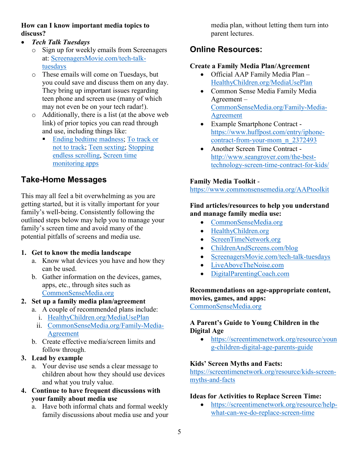### **How can I know important media topics to discuss?**

- *Tech Talk Tuesdays*
	- o Sign up for weekly emails from Screenagers at: [ScreenagersMovie.com/tech-talk](https://www.screenagersmovie.com/tech-talk-tuesdays)[tuesdays](https://www.screenagersmovie.com/tech-talk-tuesdays)
	- o These emails will come on Tuesdays, but you could save and discuss them on any day. They bring up important issues regarding teen phone and screen use (many of which may not even be on your tech radar!).
	- o Additionally, there is a list (at the above web link) of prior topics you can read through and use, including things like:
		- [Ending bedtime madness;](https://www.screenagersmovie.com/tech-talk-tuesdays/ending-bedtime-madness) [To track or](https://www.screenagersmovie.com/tech-talk-tuesdays/tracking)  [not to track;](https://www.screenagersmovie.com/tech-talk-tuesdays/tracking) [Teen sexting;](https://www.screenagersmovie.com/tech-talk-tuesdays/teen-sexting-what-are-the-laws) [Stopping](https://www.screenagersmovie.com/tech-talk-tuesdays/stopping-the-scroll)  [endless scrolling,](https://www.screenagersmovie.com/tech-talk-tuesdays/stopping-the-scroll) [Screen time](https://www.screenagersmovie.com/tech-talk-tuesdays/update-on-apples-screen-time)  [monitoring apps](https://www.screenagersmovie.com/tech-talk-tuesdays/update-on-apples-screen-time)

# **Take-Home Messages**

This may all feel a bit overwhelming as you are getting started, but it is vitally important for your family's well-being. Consistently following the outlined steps below may help you to manage your family's screen time and avoid many of the potential pitfalls of screens and media use.

### **1. Get to know the media landscape**

- a. Know what devices you have and how they can be used.
- b. Gather information on the devices, games, apps, etc., through sites such as [CommonSenseMedia.org](https://www.commonsensemedia.org/)
- **2. Set up a family media plan/agreement** 
	- a. A couple of recommended plans include: i. [HealthyChildren.org/MediaUsePlan](http://www.healthychildren.org/MediaUsePlan)
		- ii. [CommonSenseMedia.org/Family-Media-](https://www.commonsensemedia.org/family-media-agreement)[Agreement](https://www.commonsensemedia.org/family-media-agreement)
	- b. Create effective media/screen limits and follow through.
- **3. Lead by example**
	- a. Your devise use sends a clear message to children about how they should use devices and what you truly value.
- **4. Continue to have frequent discussions with your family about media use**
	- a. Have both informal chats and formal weekly family discussions about media use and your

media plan, without letting them turn into parent lectures.

# **Online Resources:**

### **Create a Family Media Plan/Agreement**

- Official AAP Family Media Plan [HealthyChildren.org/MediaUsePlan](http://www.healthychildren.org/MediaUsePlan)
- Common Sense Media Family Media Agreement – [CommonSenseMedia.org/Family-Media-](https://www.commonsensemedia.org/family-media-agreement)[Agreement](https://www.commonsensemedia.org/family-media-agreement)
- Example Smartphone Contract [https://www.huffpost.com/entry/iphone](https://www.huffpost.com/entry/iphone-contract-from-your-mom_n_2372493)[contract-from-your-mom\\_n\\_2372493](https://www.huffpost.com/entry/iphone-contract-from-your-mom_n_2372493)
- Another Screen Time Contract [http://www.seangrover.com/the-best](http://www.seangrover.com/the-best-technology-screen-time-contract-for-kids/)[technology-screen-time-contract-for-kids/](http://www.seangrover.com/the-best-technology-screen-time-contract-for-kids/)

### **Family Media Toolkit** -

<https://www.commonsensemedia.org/AAPtoolkit>

### **Find articles/resources to help you understand and manage family media use:**

- [CommonSenseMedia.org](https://www.commonsensemedia.org/)
- [HealthyChildren.org](https://www.healthychildren.org/English/family-life/Media/Pages/The-Benefits-of-Limiting-TV.aspx)
- [ScreenTimeNetwork.org](https://screentimenetwork.org/)
- [ChildrenAndScreens.com/blog](https://www.childrenandscreens.com/blog/)
- [ScreenagersMovie.com/tech-talk-tuesdays](https://www.screenagersmovie.com/tech-talk-tuesdays)
- [LiveAboveTheNoise.com](https://liveabovethenoise.com/podcasts/)
- [DigitalParentingCoach.com](https://www.digitalparentingcoach.com/)

#### **Recommendations on age-appropriate content, movies, games, and apps:**

[CommonSenseMedia.org](https://www.commonsensemedia.org/)

### **A Parent's Guide to Young Children in the Digital Age**

• [https://screentimenetwork.org/resource/youn](https://screentimenetwork.org/resource/young-children-digital-age-parents-guide) [g-children-digital-age-parents-guide](https://screentimenetwork.org/resource/young-children-digital-age-parents-guide)

### **Kids' Screen Myths and Facts:**

[https://screentimenetwork.org/resource/kids-screen](https://screentimenetwork.org/resource/kids-screen-myths-and-facts)[myths-and-facts](https://screentimenetwork.org/resource/kids-screen-myths-and-facts)

### **Ideas for Activities to Replace Screen Time:**

• [https://screentimenetwork.org/resource/help](https://screentimenetwork.org/resource/help-what-can-we-do-replace-screen-time)[what-can-we-do-replace-screen-time](https://screentimenetwork.org/resource/help-what-can-we-do-replace-screen-time)